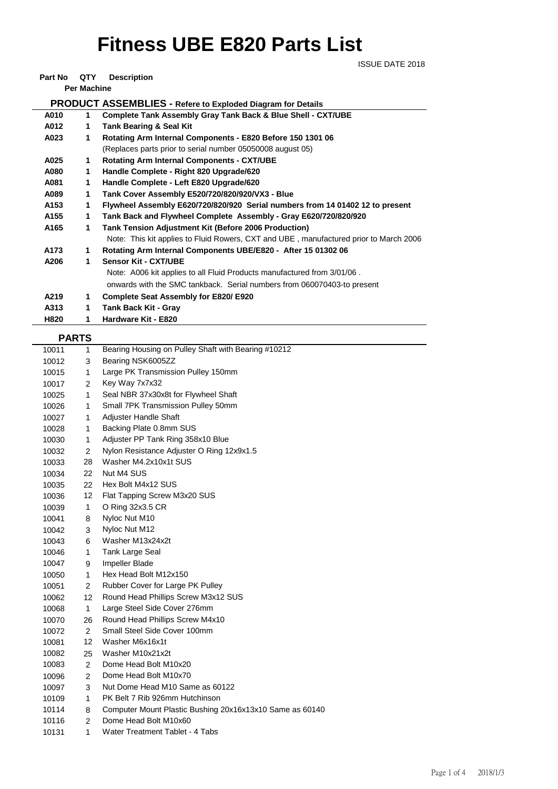## **Fitness UBE E820 Parts List**

ISSUE DATE 2018

**Part No QTY Description** 

**Per Machine**

| гентасные                                                          |    |                                                                                       |  |  |  |  |
|--------------------------------------------------------------------|----|---------------------------------------------------------------------------------------|--|--|--|--|
| <b>PRODUCT ASSEMBLIES - Refere to Exploded Diagram for Details</b> |    |                                                                                       |  |  |  |  |
| A010                                                               | 1. | <b>Complete Tank Assembly Gray Tank Back &amp; Blue Shell - CXT/UBE</b>               |  |  |  |  |
| A012                                                               | 1  | <b>Tank Bearing &amp; Seal Kit</b>                                                    |  |  |  |  |
| A023                                                               | 1  | Rotating Arm Internal Components - E820 Before 150 1301 06                            |  |  |  |  |
|                                                                    |    | (Replaces parts prior to serial number 05050008 august 05)                            |  |  |  |  |
| A025                                                               | 1  | <b>Rotating Arm Internal Components - CXT/UBE</b>                                     |  |  |  |  |
| A080                                                               | 1  | Handle Complete - Right 820 Upgrade/620                                               |  |  |  |  |
| A081                                                               | 1  | Handle Complete - Left E820 Upgrade/620                                               |  |  |  |  |
| A089                                                               | 1  | Tank Cover Assembly E520/720/820/920/VX3 - Blue                                       |  |  |  |  |
| A153                                                               | 1  | Flywheel Assembly E620/720/820/920 Serial numbers from 14 01402 12 to present         |  |  |  |  |
| A155                                                               | 1  | Tank Back and Flywheel Complete Assembly - Gray E620/720/820/920                      |  |  |  |  |
| A165                                                               | 1  | <b>Tank Tension Adjustment Kit (Before 2006 Production)</b>                           |  |  |  |  |
|                                                                    |    | Note: This kit applies to Fluid Rowers, CXT and UBE, manufactured prior to March 2006 |  |  |  |  |
| A173                                                               | 1  | Rotating Arm Internal Components UBE/E820 - After 15 01302 06                         |  |  |  |  |
| A206                                                               | 1  | <b>Sensor Kit - CXT/UBE</b>                                                           |  |  |  |  |
|                                                                    |    | Note: A006 kit applies to all Fluid Products manufactured from 3/01/06.               |  |  |  |  |
|                                                                    |    | onwards with the SMC tankback. Serial numbers from 060070403-to present               |  |  |  |  |
| A219                                                               | 1  | Complete Seat Assembly for E820/E920                                                  |  |  |  |  |

**A313 1 Tank Back Kit - Gray H820 1 Hardware Kit - E820**

## **PARTS**

|       | ייה יה         |                                                          |
|-------|----------------|----------------------------------------------------------|
| 10011 | $\mathbf{1}$   | Bearing Housing on Pulley Shaft with Bearing #10212      |
| 10012 | 3              | Bearing NSK6005ZZ                                        |
| 10015 | 1              | Large PK Transmission Pulley 150mm                       |
| 10017 | 2              | Key Way 7x7x32                                           |
| 10025 | $\mathbf{1}$   | Seal NBR 37x30x8t for Flywheel Shaft                     |
| 10026 | 1              | Small 7PK Transmission Pulley 50mm                       |
| 10027 | 1              | Adjuster Handle Shaft                                    |
| 10028 | $\mathbf{1}$   | Backing Plate 0.8mm SUS                                  |
| 10030 | 1              | Adjuster PP Tank Ring 358x10 Blue                        |
| 10032 | $\overline{2}$ | Nylon Resistance Adjuster O Ring 12x9x1.5                |
| 10033 | 28             | Washer M4.2x10x1t SUS                                    |
| 10034 | 22             | Nut M4 SUS                                               |
| 10035 | 22             | Hex Bolt M4x12 SUS                                       |
| 10036 | 12             | Flat Tapping Screw M3x20 SUS                             |
| 10039 | $\mathbf{1}$   | O Ring 32x3.5 CR                                         |
| 10041 | 8              | Nyloc Nut M10                                            |
| 10042 | 3              | Nyloc Nut M12                                            |
| 10043 | 6              | Washer M13x24x2t                                         |
| 10046 | $\mathbf{1}$   | Tank Large Seal                                          |
| 10047 | 9              | Impeller Blade                                           |
| 10050 | $\mathbf{1}$   | Hex Head Bolt M12x150                                    |
| 10051 | 2              | Rubber Cover for Large PK Pulley                         |
| 10062 | 12             | Round Head Phillips Screw M3x12 SUS                      |
| 10068 | $\mathbf{1}$   | Large Steel Side Cover 276mm                             |
| 10070 | 26             | Round Head Phillips Screw M4x10                          |
| 10072 | $\overline{2}$ | Small Steel Side Cover 100mm                             |
| 10081 | 12             | Washer M6x16x1t                                          |
| 10082 | 25             | Washer M10x21x2t                                         |
| 10083 | $\overline{2}$ | Dome Head Bolt M10x20                                    |
| 10096 | 2              | Dome Head Bolt M10x70                                    |
| 10097 | 3              | Nut Dome Head M10 Same as 60122                          |
| 10109 | 1              | PK Belt 7 Rib 926mm Hutchinson                           |
| 10114 | 8              | Computer Mount Plastic Bushing 20x16x13x10 Same as 60140 |
| 10116 | $\overline{2}$ | Dome Head Bolt M10x60                                    |
| 10131 | 1              | Water Treatment Tablet - 4 Tabs                          |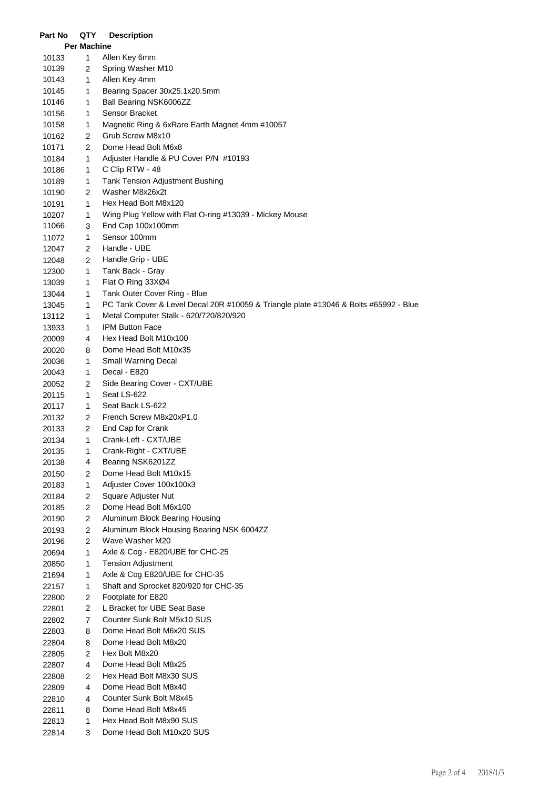| <b>Per Machine</b><br>1<br>Allen Key 6mm<br>10133<br>Spring Washer M10<br>10139<br>2<br>Allen Key 4mm<br>10143<br>1<br>Bearing Spacer 30x25.1x20.5mm<br>10145<br>1<br>Ball Bearing NSK6006ZZ<br>10146<br>1<br>Sensor Bracket<br>$\mathbf{1}$<br>10156<br>1<br>Magnetic Ring & 6xRare Earth Magnet 4mm #10057<br>10158<br>Grub Screw M8x10<br>10162<br>2<br>2<br>Dome Head Bolt M6x8<br>10171<br>Adjuster Handle & PU Cover P/N #10193<br>1<br>10184<br>C Clip RTW - 48<br>10186<br>1<br>Tank Tension Adjustment Bushing<br>10189<br>1<br>Washer M8x26x2t<br>2<br>10190<br>Hex Head Bolt M8x120<br>10191<br>1<br>Wing Plug Yellow with Flat O-ring #13039 - Mickey Mouse<br>10207<br>1<br>End Cap 100x100mm<br>11066<br>3<br>Sensor 100mm<br>1<br>11072<br>Handle - UBE<br>12047<br>2<br>Handle Grip - UBE<br>12048<br>2<br>Tank Back - Gray<br>$\mathbf{1}$<br>12300<br>Flat O Ring 33XØ4<br>$\mathbf{1}$<br>13039<br>Tank Outer Cover Ring - Blue<br>13044<br>1<br>PC Tank Cover & Level Decal 20R #10059 & Triangle plate #13046 & Bolts #65992 - Blue<br>1<br>13045<br>Metal Computer Stalk - 620/720/820/920<br>1<br>13112<br><b>IPM Button Face</b><br>13933<br>1<br>Hex Head Bolt M10x100<br>20009<br>4<br>Dome Head Bolt M10x35<br>20020<br>8<br>Small Warning Decal<br>20036<br>1<br>Decal - E820<br>20043<br>1<br>Side Bearing Cover - CXT/UBE<br>20052<br>2<br>Seat LS-622<br>20115<br>1<br>1<br>Seat Back LS-622<br>20117<br>French Screw M8x20xP1.0<br>20132<br>2<br>End Cap for Crank<br>20133<br>2<br>Crank-Left - CXT/UBE<br>1<br>20134<br>Crank-Right - CXT/UBE<br>20135<br>1<br>Bearing NSK6201ZZ<br>4<br>20138<br>Dome Head Bolt M10x15<br>20150<br>2<br>$\mathbf{1}$<br>Adjuster Cover 100x100x3<br>20183<br>$\overline{2}$<br>Square Adjuster Nut<br>20184<br>Dome Head Bolt M6x100<br>$\overline{2}$<br>20185<br>2<br>Aluminum Block Bearing Housing<br>20190<br>2<br>Aluminum Block Housing Bearing NSK 6004ZZ<br>20193<br>$\overline{2}$<br>Wave Washer M20<br>20196<br>$\mathbf{1}$<br>Axle & Cog - E820/UBE for CHC-25<br>20694<br>1<br><b>Tension Adjustment</b><br>20850<br>1<br>Axle & Cog E820/UBE for CHC-35<br>21694<br>Shaft and Sprocket 820/920 for CHC-35<br>1<br>22157<br>Footplate for E820<br>$\overline{2}$<br>22800<br>2<br>L Bracket for UBE Seat Base<br>22801<br>Counter Sunk Bolt M5x10 SUS<br>$\overline{7}$<br>22802<br>Dome Head Bolt M6x20 SUS<br>8<br>22803<br>Dome Head Bolt M8x20<br>8<br>22804<br>Hex Bolt M8x20<br>$\overline{2}$<br>22805<br>Dome Head Bolt M8x25<br>4<br>22807<br>Hex Head Bolt M8x30 SUS<br>$\overline{2}$<br>22808<br>Dome Head Bolt M8x40<br>4<br>22809<br>Counter Sunk Bolt M8x45<br>4<br>22810<br>Dome Head Bolt M8x45<br>8<br>22811<br>Hex Head Bolt M8x90 SUS<br>1<br>22813<br>Dome Head Bolt M10x20 SUS | Part No | QTY | <b>Description</b> |  |  |  |
|----------------------------------------------------------------------------------------------------------------------------------------------------------------------------------------------------------------------------------------------------------------------------------------------------------------------------------------------------------------------------------------------------------------------------------------------------------------------------------------------------------------------------------------------------------------------------------------------------------------------------------------------------------------------------------------------------------------------------------------------------------------------------------------------------------------------------------------------------------------------------------------------------------------------------------------------------------------------------------------------------------------------------------------------------------------------------------------------------------------------------------------------------------------------------------------------------------------------------------------------------------------------------------------------------------------------------------------------------------------------------------------------------------------------------------------------------------------------------------------------------------------------------------------------------------------------------------------------------------------------------------------------------------------------------------------------------------------------------------------------------------------------------------------------------------------------------------------------------------------------------------------------------------------------------------------------------------------------------------------------------------------------------------------------------------------------------------------------------------------------------------------------------------------------------------------------------------------------------------------------------------------------------------------------------------------------------------------------------------------------------------------------------------------------------------------------------------------------------------------------------------------------------------------------------------------------------------------------------------------------------------------------------------------------------------------------------------------------------------------------------------------------------------------|---------|-----|--------------------|--|--|--|
|                                                                                                                                                                                                                                                                                                                                                                                                                                                                                                                                                                                                                                                                                                                                                                                                                                                                                                                                                                                                                                                                                                                                                                                                                                                                                                                                                                                                                                                                                                                                                                                                                                                                                                                                                                                                                                                                                                                                                                                                                                                                                                                                                                                                                                                                                                                                                                                                                                                                                                                                                                                                                                                                                                                                                                                        |         |     |                    |  |  |  |
|                                                                                                                                                                                                                                                                                                                                                                                                                                                                                                                                                                                                                                                                                                                                                                                                                                                                                                                                                                                                                                                                                                                                                                                                                                                                                                                                                                                                                                                                                                                                                                                                                                                                                                                                                                                                                                                                                                                                                                                                                                                                                                                                                                                                                                                                                                                                                                                                                                                                                                                                                                                                                                                                                                                                                                                        |         |     |                    |  |  |  |
|                                                                                                                                                                                                                                                                                                                                                                                                                                                                                                                                                                                                                                                                                                                                                                                                                                                                                                                                                                                                                                                                                                                                                                                                                                                                                                                                                                                                                                                                                                                                                                                                                                                                                                                                                                                                                                                                                                                                                                                                                                                                                                                                                                                                                                                                                                                                                                                                                                                                                                                                                                                                                                                                                                                                                                                        |         |     |                    |  |  |  |
|                                                                                                                                                                                                                                                                                                                                                                                                                                                                                                                                                                                                                                                                                                                                                                                                                                                                                                                                                                                                                                                                                                                                                                                                                                                                                                                                                                                                                                                                                                                                                                                                                                                                                                                                                                                                                                                                                                                                                                                                                                                                                                                                                                                                                                                                                                                                                                                                                                                                                                                                                                                                                                                                                                                                                                                        |         |     |                    |  |  |  |
|                                                                                                                                                                                                                                                                                                                                                                                                                                                                                                                                                                                                                                                                                                                                                                                                                                                                                                                                                                                                                                                                                                                                                                                                                                                                                                                                                                                                                                                                                                                                                                                                                                                                                                                                                                                                                                                                                                                                                                                                                                                                                                                                                                                                                                                                                                                                                                                                                                                                                                                                                                                                                                                                                                                                                                                        |         |     |                    |  |  |  |
|                                                                                                                                                                                                                                                                                                                                                                                                                                                                                                                                                                                                                                                                                                                                                                                                                                                                                                                                                                                                                                                                                                                                                                                                                                                                                                                                                                                                                                                                                                                                                                                                                                                                                                                                                                                                                                                                                                                                                                                                                                                                                                                                                                                                                                                                                                                                                                                                                                                                                                                                                                                                                                                                                                                                                                                        |         |     |                    |  |  |  |
|                                                                                                                                                                                                                                                                                                                                                                                                                                                                                                                                                                                                                                                                                                                                                                                                                                                                                                                                                                                                                                                                                                                                                                                                                                                                                                                                                                                                                                                                                                                                                                                                                                                                                                                                                                                                                                                                                                                                                                                                                                                                                                                                                                                                                                                                                                                                                                                                                                                                                                                                                                                                                                                                                                                                                                                        |         |     |                    |  |  |  |
|                                                                                                                                                                                                                                                                                                                                                                                                                                                                                                                                                                                                                                                                                                                                                                                                                                                                                                                                                                                                                                                                                                                                                                                                                                                                                                                                                                                                                                                                                                                                                                                                                                                                                                                                                                                                                                                                                                                                                                                                                                                                                                                                                                                                                                                                                                                                                                                                                                                                                                                                                                                                                                                                                                                                                                                        |         |     |                    |  |  |  |
|                                                                                                                                                                                                                                                                                                                                                                                                                                                                                                                                                                                                                                                                                                                                                                                                                                                                                                                                                                                                                                                                                                                                                                                                                                                                                                                                                                                                                                                                                                                                                                                                                                                                                                                                                                                                                                                                                                                                                                                                                                                                                                                                                                                                                                                                                                                                                                                                                                                                                                                                                                                                                                                                                                                                                                                        |         |     |                    |  |  |  |
|                                                                                                                                                                                                                                                                                                                                                                                                                                                                                                                                                                                                                                                                                                                                                                                                                                                                                                                                                                                                                                                                                                                                                                                                                                                                                                                                                                                                                                                                                                                                                                                                                                                                                                                                                                                                                                                                                                                                                                                                                                                                                                                                                                                                                                                                                                                                                                                                                                                                                                                                                                                                                                                                                                                                                                                        |         |     |                    |  |  |  |
|                                                                                                                                                                                                                                                                                                                                                                                                                                                                                                                                                                                                                                                                                                                                                                                                                                                                                                                                                                                                                                                                                                                                                                                                                                                                                                                                                                                                                                                                                                                                                                                                                                                                                                                                                                                                                                                                                                                                                                                                                                                                                                                                                                                                                                                                                                                                                                                                                                                                                                                                                                                                                                                                                                                                                                                        |         |     |                    |  |  |  |
|                                                                                                                                                                                                                                                                                                                                                                                                                                                                                                                                                                                                                                                                                                                                                                                                                                                                                                                                                                                                                                                                                                                                                                                                                                                                                                                                                                                                                                                                                                                                                                                                                                                                                                                                                                                                                                                                                                                                                                                                                                                                                                                                                                                                                                                                                                                                                                                                                                                                                                                                                                                                                                                                                                                                                                                        |         |     |                    |  |  |  |
|                                                                                                                                                                                                                                                                                                                                                                                                                                                                                                                                                                                                                                                                                                                                                                                                                                                                                                                                                                                                                                                                                                                                                                                                                                                                                                                                                                                                                                                                                                                                                                                                                                                                                                                                                                                                                                                                                                                                                                                                                                                                                                                                                                                                                                                                                                                                                                                                                                                                                                                                                                                                                                                                                                                                                                                        |         |     |                    |  |  |  |
|                                                                                                                                                                                                                                                                                                                                                                                                                                                                                                                                                                                                                                                                                                                                                                                                                                                                                                                                                                                                                                                                                                                                                                                                                                                                                                                                                                                                                                                                                                                                                                                                                                                                                                                                                                                                                                                                                                                                                                                                                                                                                                                                                                                                                                                                                                                                                                                                                                                                                                                                                                                                                                                                                                                                                                                        |         |     |                    |  |  |  |
|                                                                                                                                                                                                                                                                                                                                                                                                                                                                                                                                                                                                                                                                                                                                                                                                                                                                                                                                                                                                                                                                                                                                                                                                                                                                                                                                                                                                                                                                                                                                                                                                                                                                                                                                                                                                                                                                                                                                                                                                                                                                                                                                                                                                                                                                                                                                                                                                                                                                                                                                                                                                                                                                                                                                                                                        |         |     |                    |  |  |  |
|                                                                                                                                                                                                                                                                                                                                                                                                                                                                                                                                                                                                                                                                                                                                                                                                                                                                                                                                                                                                                                                                                                                                                                                                                                                                                                                                                                                                                                                                                                                                                                                                                                                                                                                                                                                                                                                                                                                                                                                                                                                                                                                                                                                                                                                                                                                                                                                                                                                                                                                                                                                                                                                                                                                                                                                        |         |     |                    |  |  |  |
|                                                                                                                                                                                                                                                                                                                                                                                                                                                                                                                                                                                                                                                                                                                                                                                                                                                                                                                                                                                                                                                                                                                                                                                                                                                                                                                                                                                                                                                                                                                                                                                                                                                                                                                                                                                                                                                                                                                                                                                                                                                                                                                                                                                                                                                                                                                                                                                                                                                                                                                                                                                                                                                                                                                                                                                        |         |     |                    |  |  |  |
|                                                                                                                                                                                                                                                                                                                                                                                                                                                                                                                                                                                                                                                                                                                                                                                                                                                                                                                                                                                                                                                                                                                                                                                                                                                                                                                                                                                                                                                                                                                                                                                                                                                                                                                                                                                                                                                                                                                                                                                                                                                                                                                                                                                                                                                                                                                                                                                                                                                                                                                                                                                                                                                                                                                                                                                        |         |     |                    |  |  |  |
|                                                                                                                                                                                                                                                                                                                                                                                                                                                                                                                                                                                                                                                                                                                                                                                                                                                                                                                                                                                                                                                                                                                                                                                                                                                                                                                                                                                                                                                                                                                                                                                                                                                                                                                                                                                                                                                                                                                                                                                                                                                                                                                                                                                                                                                                                                                                                                                                                                                                                                                                                                                                                                                                                                                                                                                        |         |     |                    |  |  |  |
|                                                                                                                                                                                                                                                                                                                                                                                                                                                                                                                                                                                                                                                                                                                                                                                                                                                                                                                                                                                                                                                                                                                                                                                                                                                                                                                                                                                                                                                                                                                                                                                                                                                                                                                                                                                                                                                                                                                                                                                                                                                                                                                                                                                                                                                                                                                                                                                                                                                                                                                                                                                                                                                                                                                                                                                        |         |     |                    |  |  |  |
|                                                                                                                                                                                                                                                                                                                                                                                                                                                                                                                                                                                                                                                                                                                                                                                                                                                                                                                                                                                                                                                                                                                                                                                                                                                                                                                                                                                                                                                                                                                                                                                                                                                                                                                                                                                                                                                                                                                                                                                                                                                                                                                                                                                                                                                                                                                                                                                                                                                                                                                                                                                                                                                                                                                                                                                        |         |     |                    |  |  |  |
|                                                                                                                                                                                                                                                                                                                                                                                                                                                                                                                                                                                                                                                                                                                                                                                                                                                                                                                                                                                                                                                                                                                                                                                                                                                                                                                                                                                                                                                                                                                                                                                                                                                                                                                                                                                                                                                                                                                                                                                                                                                                                                                                                                                                                                                                                                                                                                                                                                                                                                                                                                                                                                                                                                                                                                                        |         |     |                    |  |  |  |
|                                                                                                                                                                                                                                                                                                                                                                                                                                                                                                                                                                                                                                                                                                                                                                                                                                                                                                                                                                                                                                                                                                                                                                                                                                                                                                                                                                                                                                                                                                                                                                                                                                                                                                                                                                                                                                                                                                                                                                                                                                                                                                                                                                                                                                                                                                                                                                                                                                                                                                                                                                                                                                                                                                                                                                                        |         |     |                    |  |  |  |
|                                                                                                                                                                                                                                                                                                                                                                                                                                                                                                                                                                                                                                                                                                                                                                                                                                                                                                                                                                                                                                                                                                                                                                                                                                                                                                                                                                                                                                                                                                                                                                                                                                                                                                                                                                                                                                                                                                                                                                                                                                                                                                                                                                                                                                                                                                                                                                                                                                                                                                                                                                                                                                                                                                                                                                                        |         |     |                    |  |  |  |
|                                                                                                                                                                                                                                                                                                                                                                                                                                                                                                                                                                                                                                                                                                                                                                                                                                                                                                                                                                                                                                                                                                                                                                                                                                                                                                                                                                                                                                                                                                                                                                                                                                                                                                                                                                                                                                                                                                                                                                                                                                                                                                                                                                                                                                                                                                                                                                                                                                                                                                                                                                                                                                                                                                                                                                                        |         |     |                    |  |  |  |
|                                                                                                                                                                                                                                                                                                                                                                                                                                                                                                                                                                                                                                                                                                                                                                                                                                                                                                                                                                                                                                                                                                                                                                                                                                                                                                                                                                                                                                                                                                                                                                                                                                                                                                                                                                                                                                                                                                                                                                                                                                                                                                                                                                                                                                                                                                                                                                                                                                                                                                                                                                                                                                                                                                                                                                                        |         |     |                    |  |  |  |
|                                                                                                                                                                                                                                                                                                                                                                                                                                                                                                                                                                                                                                                                                                                                                                                                                                                                                                                                                                                                                                                                                                                                                                                                                                                                                                                                                                                                                                                                                                                                                                                                                                                                                                                                                                                                                                                                                                                                                                                                                                                                                                                                                                                                                                                                                                                                                                                                                                                                                                                                                                                                                                                                                                                                                                                        |         |     |                    |  |  |  |
|                                                                                                                                                                                                                                                                                                                                                                                                                                                                                                                                                                                                                                                                                                                                                                                                                                                                                                                                                                                                                                                                                                                                                                                                                                                                                                                                                                                                                                                                                                                                                                                                                                                                                                                                                                                                                                                                                                                                                                                                                                                                                                                                                                                                                                                                                                                                                                                                                                                                                                                                                                                                                                                                                                                                                                                        |         |     |                    |  |  |  |
|                                                                                                                                                                                                                                                                                                                                                                                                                                                                                                                                                                                                                                                                                                                                                                                                                                                                                                                                                                                                                                                                                                                                                                                                                                                                                                                                                                                                                                                                                                                                                                                                                                                                                                                                                                                                                                                                                                                                                                                                                                                                                                                                                                                                                                                                                                                                                                                                                                                                                                                                                                                                                                                                                                                                                                                        |         |     |                    |  |  |  |
|                                                                                                                                                                                                                                                                                                                                                                                                                                                                                                                                                                                                                                                                                                                                                                                                                                                                                                                                                                                                                                                                                                                                                                                                                                                                                                                                                                                                                                                                                                                                                                                                                                                                                                                                                                                                                                                                                                                                                                                                                                                                                                                                                                                                                                                                                                                                                                                                                                                                                                                                                                                                                                                                                                                                                                                        |         |     |                    |  |  |  |
|                                                                                                                                                                                                                                                                                                                                                                                                                                                                                                                                                                                                                                                                                                                                                                                                                                                                                                                                                                                                                                                                                                                                                                                                                                                                                                                                                                                                                                                                                                                                                                                                                                                                                                                                                                                                                                                                                                                                                                                                                                                                                                                                                                                                                                                                                                                                                                                                                                                                                                                                                                                                                                                                                                                                                                                        |         |     |                    |  |  |  |
|                                                                                                                                                                                                                                                                                                                                                                                                                                                                                                                                                                                                                                                                                                                                                                                                                                                                                                                                                                                                                                                                                                                                                                                                                                                                                                                                                                                                                                                                                                                                                                                                                                                                                                                                                                                                                                                                                                                                                                                                                                                                                                                                                                                                                                                                                                                                                                                                                                                                                                                                                                                                                                                                                                                                                                                        |         |     |                    |  |  |  |
|                                                                                                                                                                                                                                                                                                                                                                                                                                                                                                                                                                                                                                                                                                                                                                                                                                                                                                                                                                                                                                                                                                                                                                                                                                                                                                                                                                                                                                                                                                                                                                                                                                                                                                                                                                                                                                                                                                                                                                                                                                                                                                                                                                                                                                                                                                                                                                                                                                                                                                                                                                                                                                                                                                                                                                                        |         |     |                    |  |  |  |
|                                                                                                                                                                                                                                                                                                                                                                                                                                                                                                                                                                                                                                                                                                                                                                                                                                                                                                                                                                                                                                                                                                                                                                                                                                                                                                                                                                                                                                                                                                                                                                                                                                                                                                                                                                                                                                                                                                                                                                                                                                                                                                                                                                                                                                                                                                                                                                                                                                                                                                                                                                                                                                                                                                                                                                                        |         |     |                    |  |  |  |
|                                                                                                                                                                                                                                                                                                                                                                                                                                                                                                                                                                                                                                                                                                                                                                                                                                                                                                                                                                                                                                                                                                                                                                                                                                                                                                                                                                                                                                                                                                                                                                                                                                                                                                                                                                                                                                                                                                                                                                                                                                                                                                                                                                                                                                                                                                                                                                                                                                                                                                                                                                                                                                                                                                                                                                                        |         |     |                    |  |  |  |
|                                                                                                                                                                                                                                                                                                                                                                                                                                                                                                                                                                                                                                                                                                                                                                                                                                                                                                                                                                                                                                                                                                                                                                                                                                                                                                                                                                                                                                                                                                                                                                                                                                                                                                                                                                                                                                                                                                                                                                                                                                                                                                                                                                                                                                                                                                                                                                                                                                                                                                                                                                                                                                                                                                                                                                                        |         |     |                    |  |  |  |
|                                                                                                                                                                                                                                                                                                                                                                                                                                                                                                                                                                                                                                                                                                                                                                                                                                                                                                                                                                                                                                                                                                                                                                                                                                                                                                                                                                                                                                                                                                                                                                                                                                                                                                                                                                                                                                                                                                                                                                                                                                                                                                                                                                                                                                                                                                                                                                                                                                                                                                                                                                                                                                                                                                                                                                                        |         |     |                    |  |  |  |
|                                                                                                                                                                                                                                                                                                                                                                                                                                                                                                                                                                                                                                                                                                                                                                                                                                                                                                                                                                                                                                                                                                                                                                                                                                                                                                                                                                                                                                                                                                                                                                                                                                                                                                                                                                                                                                                                                                                                                                                                                                                                                                                                                                                                                                                                                                                                                                                                                                                                                                                                                                                                                                                                                                                                                                                        |         |     |                    |  |  |  |
|                                                                                                                                                                                                                                                                                                                                                                                                                                                                                                                                                                                                                                                                                                                                                                                                                                                                                                                                                                                                                                                                                                                                                                                                                                                                                                                                                                                                                                                                                                                                                                                                                                                                                                                                                                                                                                                                                                                                                                                                                                                                                                                                                                                                                                                                                                                                                                                                                                                                                                                                                                                                                                                                                                                                                                                        |         |     |                    |  |  |  |
|                                                                                                                                                                                                                                                                                                                                                                                                                                                                                                                                                                                                                                                                                                                                                                                                                                                                                                                                                                                                                                                                                                                                                                                                                                                                                                                                                                                                                                                                                                                                                                                                                                                                                                                                                                                                                                                                                                                                                                                                                                                                                                                                                                                                                                                                                                                                                                                                                                                                                                                                                                                                                                                                                                                                                                                        |         |     |                    |  |  |  |
|                                                                                                                                                                                                                                                                                                                                                                                                                                                                                                                                                                                                                                                                                                                                                                                                                                                                                                                                                                                                                                                                                                                                                                                                                                                                                                                                                                                                                                                                                                                                                                                                                                                                                                                                                                                                                                                                                                                                                                                                                                                                                                                                                                                                                                                                                                                                                                                                                                                                                                                                                                                                                                                                                                                                                                                        |         |     |                    |  |  |  |
|                                                                                                                                                                                                                                                                                                                                                                                                                                                                                                                                                                                                                                                                                                                                                                                                                                                                                                                                                                                                                                                                                                                                                                                                                                                                                                                                                                                                                                                                                                                                                                                                                                                                                                                                                                                                                                                                                                                                                                                                                                                                                                                                                                                                                                                                                                                                                                                                                                                                                                                                                                                                                                                                                                                                                                                        |         |     |                    |  |  |  |
|                                                                                                                                                                                                                                                                                                                                                                                                                                                                                                                                                                                                                                                                                                                                                                                                                                                                                                                                                                                                                                                                                                                                                                                                                                                                                                                                                                                                                                                                                                                                                                                                                                                                                                                                                                                                                                                                                                                                                                                                                                                                                                                                                                                                                                                                                                                                                                                                                                                                                                                                                                                                                                                                                                                                                                                        |         |     |                    |  |  |  |
|                                                                                                                                                                                                                                                                                                                                                                                                                                                                                                                                                                                                                                                                                                                                                                                                                                                                                                                                                                                                                                                                                                                                                                                                                                                                                                                                                                                                                                                                                                                                                                                                                                                                                                                                                                                                                                                                                                                                                                                                                                                                                                                                                                                                                                                                                                                                                                                                                                                                                                                                                                                                                                                                                                                                                                                        |         |     |                    |  |  |  |
|                                                                                                                                                                                                                                                                                                                                                                                                                                                                                                                                                                                                                                                                                                                                                                                                                                                                                                                                                                                                                                                                                                                                                                                                                                                                                                                                                                                                                                                                                                                                                                                                                                                                                                                                                                                                                                                                                                                                                                                                                                                                                                                                                                                                                                                                                                                                                                                                                                                                                                                                                                                                                                                                                                                                                                                        |         |     |                    |  |  |  |
|                                                                                                                                                                                                                                                                                                                                                                                                                                                                                                                                                                                                                                                                                                                                                                                                                                                                                                                                                                                                                                                                                                                                                                                                                                                                                                                                                                                                                                                                                                                                                                                                                                                                                                                                                                                                                                                                                                                                                                                                                                                                                                                                                                                                                                                                                                                                                                                                                                                                                                                                                                                                                                                                                                                                                                                        |         |     |                    |  |  |  |
|                                                                                                                                                                                                                                                                                                                                                                                                                                                                                                                                                                                                                                                                                                                                                                                                                                                                                                                                                                                                                                                                                                                                                                                                                                                                                                                                                                                                                                                                                                                                                                                                                                                                                                                                                                                                                                                                                                                                                                                                                                                                                                                                                                                                                                                                                                                                                                                                                                                                                                                                                                                                                                                                                                                                                                                        |         |     |                    |  |  |  |
|                                                                                                                                                                                                                                                                                                                                                                                                                                                                                                                                                                                                                                                                                                                                                                                                                                                                                                                                                                                                                                                                                                                                                                                                                                                                                                                                                                                                                                                                                                                                                                                                                                                                                                                                                                                                                                                                                                                                                                                                                                                                                                                                                                                                                                                                                                                                                                                                                                                                                                                                                                                                                                                                                                                                                                                        |         |     |                    |  |  |  |
|                                                                                                                                                                                                                                                                                                                                                                                                                                                                                                                                                                                                                                                                                                                                                                                                                                                                                                                                                                                                                                                                                                                                                                                                                                                                                                                                                                                                                                                                                                                                                                                                                                                                                                                                                                                                                                                                                                                                                                                                                                                                                                                                                                                                                                                                                                                                                                                                                                                                                                                                                                                                                                                                                                                                                                                        |         |     |                    |  |  |  |
|                                                                                                                                                                                                                                                                                                                                                                                                                                                                                                                                                                                                                                                                                                                                                                                                                                                                                                                                                                                                                                                                                                                                                                                                                                                                                                                                                                                                                                                                                                                                                                                                                                                                                                                                                                                                                                                                                                                                                                                                                                                                                                                                                                                                                                                                                                                                                                                                                                                                                                                                                                                                                                                                                                                                                                                        |         |     |                    |  |  |  |
|                                                                                                                                                                                                                                                                                                                                                                                                                                                                                                                                                                                                                                                                                                                                                                                                                                                                                                                                                                                                                                                                                                                                                                                                                                                                                                                                                                                                                                                                                                                                                                                                                                                                                                                                                                                                                                                                                                                                                                                                                                                                                                                                                                                                                                                                                                                                                                                                                                                                                                                                                                                                                                                                                                                                                                                        |         |     |                    |  |  |  |
|                                                                                                                                                                                                                                                                                                                                                                                                                                                                                                                                                                                                                                                                                                                                                                                                                                                                                                                                                                                                                                                                                                                                                                                                                                                                                                                                                                                                                                                                                                                                                                                                                                                                                                                                                                                                                                                                                                                                                                                                                                                                                                                                                                                                                                                                                                                                                                                                                                                                                                                                                                                                                                                                                                                                                                                        |         |     |                    |  |  |  |
|                                                                                                                                                                                                                                                                                                                                                                                                                                                                                                                                                                                                                                                                                                                                                                                                                                                                                                                                                                                                                                                                                                                                                                                                                                                                                                                                                                                                                                                                                                                                                                                                                                                                                                                                                                                                                                                                                                                                                                                                                                                                                                                                                                                                                                                                                                                                                                                                                                                                                                                                                                                                                                                                                                                                                                                        |         |     |                    |  |  |  |
|                                                                                                                                                                                                                                                                                                                                                                                                                                                                                                                                                                                                                                                                                                                                                                                                                                                                                                                                                                                                                                                                                                                                                                                                                                                                                                                                                                                                                                                                                                                                                                                                                                                                                                                                                                                                                                                                                                                                                                                                                                                                                                                                                                                                                                                                                                                                                                                                                                                                                                                                                                                                                                                                                                                                                                                        |         |     |                    |  |  |  |
|                                                                                                                                                                                                                                                                                                                                                                                                                                                                                                                                                                                                                                                                                                                                                                                                                                                                                                                                                                                                                                                                                                                                                                                                                                                                                                                                                                                                                                                                                                                                                                                                                                                                                                                                                                                                                                                                                                                                                                                                                                                                                                                                                                                                                                                                                                                                                                                                                                                                                                                                                                                                                                                                                                                                                                                        |         |     |                    |  |  |  |
|                                                                                                                                                                                                                                                                                                                                                                                                                                                                                                                                                                                                                                                                                                                                                                                                                                                                                                                                                                                                                                                                                                                                                                                                                                                                                                                                                                                                                                                                                                                                                                                                                                                                                                                                                                                                                                                                                                                                                                                                                                                                                                                                                                                                                                                                                                                                                                                                                                                                                                                                                                                                                                                                                                                                                                                        |         |     |                    |  |  |  |
|                                                                                                                                                                                                                                                                                                                                                                                                                                                                                                                                                                                                                                                                                                                                                                                                                                                                                                                                                                                                                                                                                                                                                                                                                                                                                                                                                                                                                                                                                                                                                                                                                                                                                                                                                                                                                                                                                                                                                                                                                                                                                                                                                                                                                                                                                                                                                                                                                                                                                                                                                                                                                                                                                                                                                                                        |         |     |                    |  |  |  |
|                                                                                                                                                                                                                                                                                                                                                                                                                                                                                                                                                                                                                                                                                                                                                                                                                                                                                                                                                                                                                                                                                                                                                                                                                                                                                                                                                                                                                                                                                                                                                                                                                                                                                                                                                                                                                                                                                                                                                                                                                                                                                                                                                                                                                                                                                                                                                                                                                                                                                                                                                                                                                                                                                                                                                                                        |         |     |                    |  |  |  |
|                                                                                                                                                                                                                                                                                                                                                                                                                                                                                                                                                                                                                                                                                                                                                                                                                                                                                                                                                                                                                                                                                                                                                                                                                                                                                                                                                                                                                                                                                                                                                                                                                                                                                                                                                                                                                                                                                                                                                                                                                                                                                                                                                                                                                                                                                                                                                                                                                                                                                                                                                                                                                                                                                                                                                                                        |         |     |                    |  |  |  |
|                                                                                                                                                                                                                                                                                                                                                                                                                                                                                                                                                                                                                                                                                                                                                                                                                                                                                                                                                                                                                                                                                                                                                                                                                                                                                                                                                                                                                                                                                                                                                                                                                                                                                                                                                                                                                                                                                                                                                                                                                                                                                                                                                                                                                                                                                                                                                                                                                                                                                                                                                                                                                                                                                                                                                                                        |         |     |                    |  |  |  |
|                                                                                                                                                                                                                                                                                                                                                                                                                                                                                                                                                                                                                                                                                                                                                                                                                                                                                                                                                                                                                                                                                                                                                                                                                                                                                                                                                                                                                                                                                                                                                                                                                                                                                                                                                                                                                                                                                                                                                                                                                                                                                                                                                                                                                                                                                                                                                                                                                                                                                                                                                                                                                                                                                                                                                                                        |         |     |                    |  |  |  |
|                                                                                                                                                                                                                                                                                                                                                                                                                                                                                                                                                                                                                                                                                                                                                                                                                                                                                                                                                                                                                                                                                                                                                                                                                                                                                                                                                                                                                                                                                                                                                                                                                                                                                                                                                                                                                                                                                                                                                                                                                                                                                                                                                                                                                                                                                                                                                                                                                                                                                                                                                                                                                                                                                                                                                                                        | 22814   | 3   |                    |  |  |  |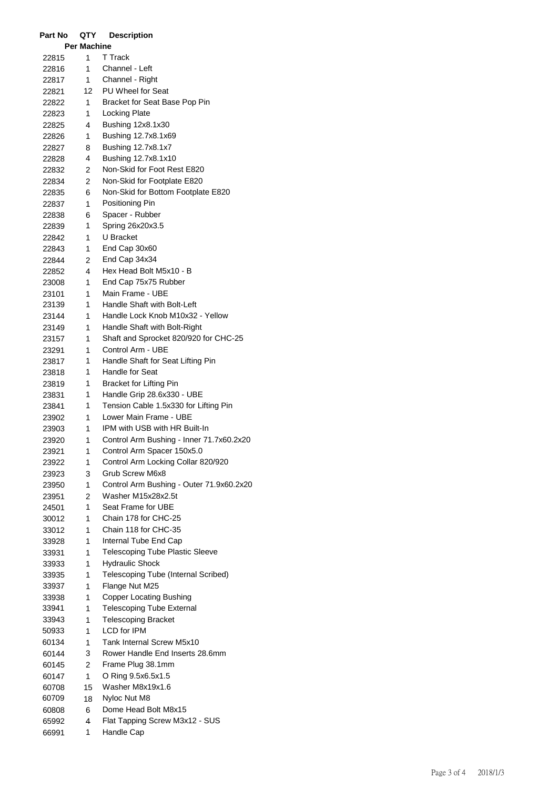| Part No        | QTY                | <b>Description</b>                                             |
|----------------|--------------------|----------------------------------------------------------------|
|                | <b>Per Machine</b> |                                                                |
| 22815          | 1                  | <b>T</b> Track                                                 |
| 22816          | $\mathbf{1}$       | Channel - Left                                                 |
| 22817          | $\mathbf{1}$       | Channel - Right                                                |
| 22821          | 12                 | PU Wheel for Seat                                              |
| 22822          | 1                  | Bracket for Seat Base Pop Pin                                  |
| 22823          | 1                  | Locking Plate                                                  |
| 22825          | 4                  | Bushing 12x8.1x30                                              |
| 22826          | 1                  | Bushing 12.7x8.1x69                                            |
| 22827          | 8                  | Bushing 12.7x8.1x7                                             |
| 22828          | 4                  | Bushing 12.7x8.1x10                                            |
| 22832          | 2                  | Non-Skid for Foot Rest E820                                    |
| 22834          | 2                  | Non-Skid for Footplate E820                                    |
| 22835          | 6                  | Non-Skid for Bottom Footplate E820                             |
| 22837          | 1                  | Positioning Pin                                                |
| 22838          | 6                  | Spacer - Rubber                                                |
| 22839          | 1                  | Spring 26x20x3.5                                               |
| 22842          | 1                  | U Bracket                                                      |
| 22843          | 1                  | End Cap 30x60                                                  |
| 22844          | 2                  | End Cap 34x34                                                  |
| 22852          | 4                  | Hex Head Bolt M5x10 - B                                        |
| 23008          | 1                  | End Cap 75x75 Rubber                                           |
| 23101          | 1                  | Main Frame - UBE                                               |
| 23139          | 1                  | Handle Shaft with Bolt-Left                                    |
| 23144          | 1                  | Handle Lock Knob M10x32 - Yellow                               |
| 23149          | 1                  | Handle Shaft with Bolt-Right                                   |
| 23157          | 1                  | Shaft and Sprocket 820/920 for CHC-25                          |
| 23291          | 1                  | Control Arm - UBE                                              |
| 23817          | 1                  | Handle Shaft for Seat Lifting Pin                              |
| 23818          | 1                  | Handle for Seat                                                |
| 23819          | 1                  | <b>Bracket for Lifting Pin</b>                                 |
| 23831          | 1                  | Handle Grip 28.6x330 - UBE                                     |
| 23841          | 1                  | Tension Cable 1.5x330 for Lifting Pin                          |
| 23902          | 1                  | Lower Main Frame - UBE                                         |
| 23903          | 1                  | IPM with USB with HR Built-In                                  |
| 23920          | 1                  | Control Arm Bushing - Inner 71.7x60.2x20                       |
| 23921          | 1                  | Control Arm Spacer 150x5.0                                     |
| 23922          | 1                  | Control Arm Locking Collar 820/920                             |
| 23923          | 3                  | Grub Screw M6x8                                                |
| 23950          | 1                  | Control Arm Bushing - Outer 71.9x60.2x20<br>Washer M15x28x2.5t |
| 23951          | 2<br>1             | Seat Frame for UBE                                             |
| 24501          |                    | Chain 178 for CHC-25                                           |
| 30012<br>33012 | 1<br>1             | Chain 118 for CHC-35                                           |
| 33928          | 1                  | Internal Tube End Cap                                          |
| 33931          | 1                  | <b>Telescoping Tube Plastic Sleeve</b>                         |
| 33933          | 1                  | <b>Hydraulic Shock</b>                                         |
| 33935          | 1                  | Telescoping Tube (Internal Scribed)                            |
| 33937          | 1                  | Flange Nut M25                                                 |
| 33938          | 1                  | <b>Copper Locating Bushing</b>                                 |
| 33941          | 1                  | <b>Telescoping Tube External</b>                               |
| 33943          | 1                  | <b>Telescoping Bracket</b>                                     |
| 50933          | 1                  | <b>LCD</b> for IPM                                             |
| 60134          | 1                  | Tank Internal Screw M5x10                                      |
| 60144          | 3                  | Rower Handle End Inserts 28.6mm                                |
| 60145          | 2                  | Frame Plug 38.1mm                                              |
| 60147          | 1                  | O Ring 9.5x6.5x1.5                                             |
| 60708          | 15                 | Washer M8x19x1.6                                               |
| 60709          | 18                 | Nyloc Nut M8                                                   |
| 60808          | 6                  | Dome Head Bolt M8x15                                           |
| 65992          | 4                  | Flat Tapping Screw M3x12 - SUS                                 |
| 66991          | 1                  | Handle Cap                                                     |
|                |                    |                                                                |